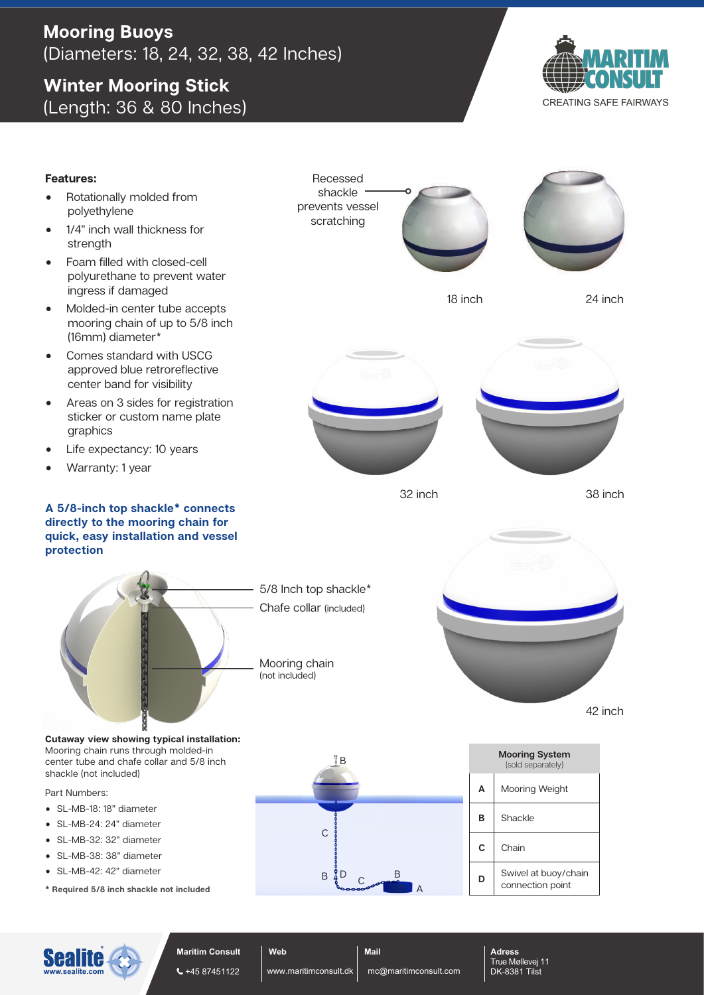## **Mooring Buoys** (Diameters: 18, 24, 32, 38, 42 Inches)

# **Winter Mooring Stick** (Length: 36 & 80 Inches)



**CREATING SAFE FAIRWAYS**